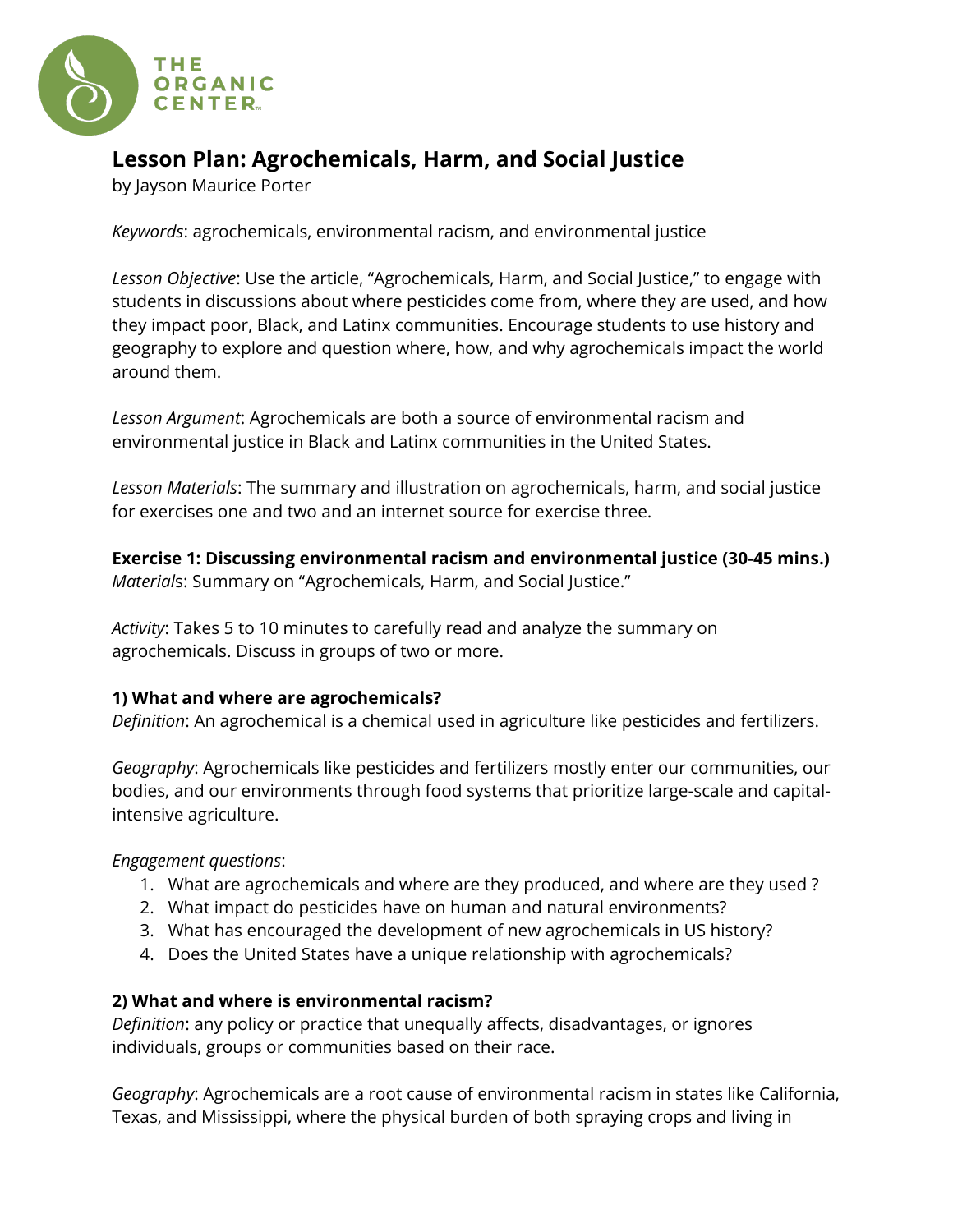

# **Lesson Plan: Agrochemicals, Harm, and Social Justice**

by Jayson Maurice Porter

*Keywords*: agrochemicals, environmental racism, and environmental justice

*Lesson Objective*: Use the article, "Agrochemicals, Harm, and Social Justice," to engage with students in discussions about where pesticides come from, where they are used, and how they impact poor, Black, and Latinx communities. Encourage students to use history and geography to explore and question where, how, and why agrochemicals impact the world around them.

*Lesson Argument*: Agrochemicals are both a source of environmental racism and environmental justice in Black and Latinx communities in the United States.

*Lesson Materials*: The summary and illustration on agrochemicals, harm, and social justice for exercises one and two and an internet source for exercise three.

**Exercise 1: Discussing environmental racism and environmental justice (30-45 mins.)** *Material*s: Summary on "Agrochemicals, Harm, and Social Justice."

*Activity*: Takes 5 to 10 minutes to carefully read and analyze the summary on agrochemicals. Discuss in groups of two or more.

# **1) What and where are agrochemicals?**

*Definition*: An agrochemical is a chemical used in agriculture like pesticides and fertilizers.

*Geography*: Agrochemicals like pesticides and fertilizers mostly enter our communities, our bodies, and our environments through food systems that prioritize large-scale and capitalintensive agriculture.

*Engagement questions*:

- 1. What are agrochemicals and where are they produced, and where are they used ?
- 2. What impact do pesticides have on human and natural environments?
- 3. What has encouraged the development of new agrochemicals in US history?
- 4. Does the United States have a unique relationship with agrochemicals?

# **2) What and where is environmental racism?**

*Definition*: any policy or practice that unequally affects, disadvantages, or ignores individuals, groups or communities based on their race.

*Geography*: Agrochemicals are a root cause of environmental racism in states like California, Texas, and Mississippi, where the physical burden of both spraying crops and living in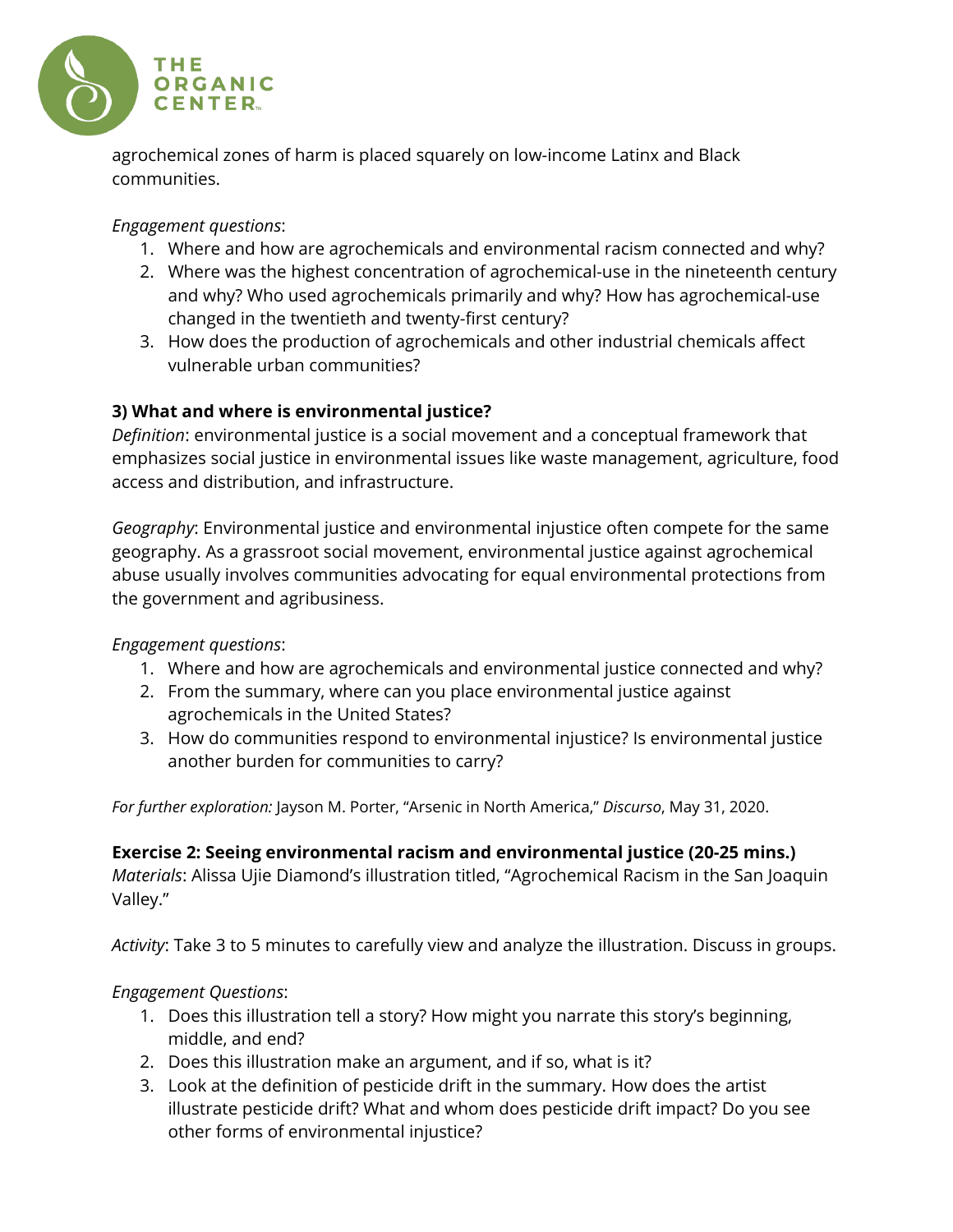

agrochemical zones of harm is placed squarely on low-income Latinx and Black communities.

# *Engagement questions*:

- 1. Where and how are agrochemicals and environmental racism connected and why?
- 2. Where was the highest concentration of agrochemical-use in the nineteenth century and why? Who used agrochemicals primarily and why? How has agrochemical-use changed in the twentieth and twenty-first century?
- 3. How does the production of agrochemicals and other industrial chemicals affect vulnerable urban communities?

# **3) What and where is environmental justice?**

*Definition*: environmental justice is a social movement and a conceptual framework that emphasizes social justice in environmental issues like waste management, agriculture, food access and distribution, and infrastructure.

*Geography*: Environmental justice and environmental injustice often compete for the same geography. As a grassroot social movement, environmental justice against agrochemical abuse usually involves communities advocating for equal environmental protections from the government and agribusiness.

# *Engagement questions*:

- 1. Where and how are agrochemicals and environmental justice connected and why?
- 2. From the summary, where can you place environmental justice against agrochemicals in the United States?
- 3. How do communities respond to environmental injustice? Is environmental justice another burden for communities to carry?

*For further exploration:* Jayson M. Porter, "Arsenic in North America," *Discurso*, May 31, 2020.

**Exercise 2: Seeing environmental racism and environmental justice (20-25 mins.)** *Materials*: Alissa Ujie Diamond's illustration titled, "Agrochemical Racism in the San Joaquin Valley."

*Activity*: Take 3 to 5 minutes to carefully view and analyze the illustration. Discuss in groups.

# *Engagement Questions*:

- 1. Does this illustration tell a story? How might you narrate this story's beginning, middle, and end?
- 2. Does this illustration make an argument, and if so, what is it?
- 3. Look at the definition of pesticide drift in the summary. How does the artist illustrate pesticide drift? What and whom does pesticide drift impact? Do you see other forms of environmental injustice?